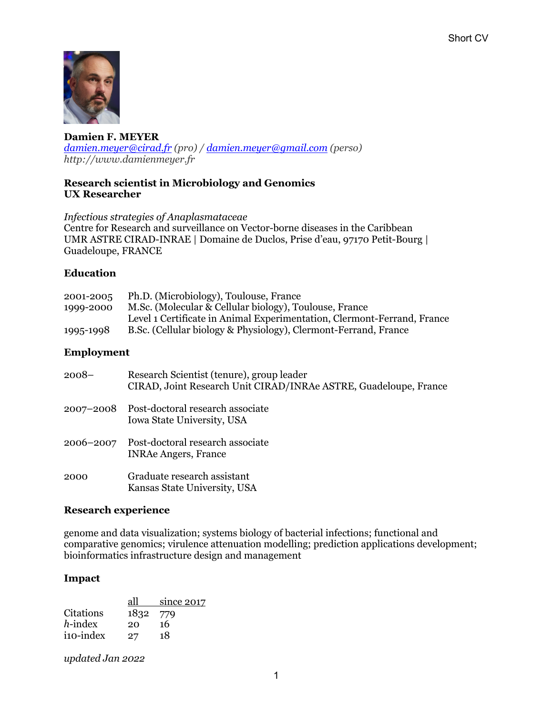

**Damien F. MEYER**  *damien.meyer@cirad.fr (pro) / damien.meyer@gmail.com (perso) http://www.damienmeyer.fr*

## **Research scientist in Microbiology and Genomics UX Researcher**

*Infectious strategies of Anaplasmataceae* Centre for Research and surveillance on Vector-borne diseases in the Caribbean UMR ASTRE CIRAD-INRAE | Domaine de Duclos, Prise d'eau, 97170 Petit-Bourg | Guadeloupe, FRANCE

# **Education**

| 2001-2005 | Ph.D. (Microbiology), Toulouse, France                                  |
|-----------|-------------------------------------------------------------------------|
| 1999-2000 | M.Sc. (Molecular & Cellular biology), Toulouse, France                  |
|           | Level 1 Certificate in Animal Experimentation, Clermont-Ferrand, France |
| 1995-1998 | B.Sc. (Cellular biology & Physiology), Clermont-Ferrand, France         |

## **Employment**

| $2008-$   | Research Scientist (tenure), group leader<br>CIRAD, Joint Research Unit CIRAD/INRAe ASTRE, Guadeloupe, France |
|-----------|---------------------------------------------------------------------------------------------------------------|
|           | 2007–2008 Post-doctoral research associate<br>Iowa State University, USA                                      |
| 2006-2007 | Post-doctoral research associate<br><b>INRAe Angers, France</b>                                               |
| 2000      | Graduate research assistant<br>Kansas State University, USA                                                   |

## **Research experience**

genome and data visualization; systems biology of bacterial infections; functional and comparative genomics; virulence attenuation modelling; prediction applications development; bioinformatics infrastructure design and management

# **Impact**

| all  | since 2017 |
|------|------------|
| 1832 | 779        |
| 20   | 16         |
| 27   | 18         |
|      |            |

*updated Jan 2022*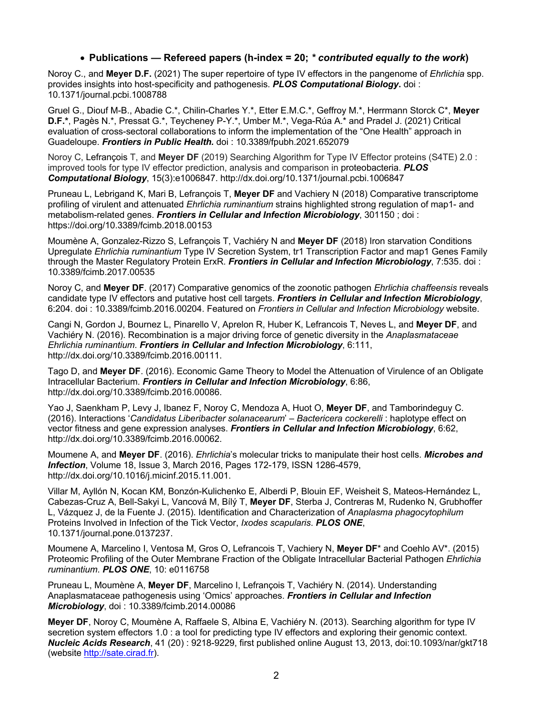### • **Publications — Refereed papers (h-index = 20;** *\* contributed equally to the work***)**

Noroy C., and **Meyer D.F.** (2021) The super repertoire of type IV effectors in the pangenome of *Ehrlichia* spp. provides insights into host-specificity and pathogenesis. *PLOS Computational Biology***.** doi : 10.1371/journal.pcbi.1008788

Gruel G., Diouf M-B., Abadie C.\*, Chilin-Charles Y.\*, Etter E.M.C.\*, Geffroy M.\*, Herrmann Storck C\*, **Meyer D.F.\***, Pagès N.\*, Pressat G.\*, Teycheney P-Y.\*, Umber M.\*, Vega-Rúa A.\* and Pradel J. (2021) Critical evaluation of cross-sectoral collaborations to inform the implementation of the "One Health" approach in Guadeloupe. *Frontiers in Public Health.* doi : 10.3389/fpubh.2021.652079

Noroy C, Lefrançois T, and **Meyer DF** (2019) Searching Algorithm for Type IV Effector proteins (S4TE) 2.0 : improved tools for type IV effector prediction, analysis and comparison in proteobacteria. *PLOS Computational Biology*, 15(3):e1006847. http://dx.doi.org/10.1371/journal.pcbi.1006847

Pruneau L, Lebrigand K, Mari B, Lefrançois T, **Meyer DF** and Vachiery N (2018) Comparative transcriptome profiling of virulent and attenuated *Ehrlichia ruminantium* strains highlighted strong regulation of map1- and metabolism-related genes. *Frontiers in Cellular and Infection Microbiology*, 301150 ; doi : https://doi.org/10.3389/fcimb.2018.00153

Moumène A, Gonzalez-Rizzo S, Lefrançois T, Vachiéry N and **Meyer DF** (2018) Iron starvation Conditions Upregulate *Ehrlichia ruminantium* Type IV Secretion System, tr1 Transcription Factor and map1 Genes Family through the Master Regulatory Protein ErxR. *Frontiers in Cellular and Infection Microbiology*, 7:535. doi : 10.3389/fcimb.2017.00535

Noroy C, and **Meyer DF**. (2017) Comparative genomics of the zoonotic pathogen *Ehrlichia chaffeensis* reveals candidate type IV effectors and putative host cell targets. *Frontiers in Cellular and Infection Microbiology*, 6:204. doi : 10.3389/fcimb.2016.00204. Featured on *Frontiers in Cellular and Infection Microbiology* website.

Cangi N, Gordon J, Bournez L, Pinarello V, Aprelon R, Huber K, Lefrancois T, Neves L, and **Meyer DF**, and Vachiéry N. (2016). Recombination is a major driving force of genetic diversity in the *Anaplasmataceae Ehrlichia ruminantium*. *Frontiers in Cellular and Infection Microbiology*, 6:111, http://dx.doi.org/10.3389/fcimb.2016.00111.

Tago D, and **Meyer DF**. (2016). Economic Game Theory to Model the Attenuation of Virulence of an Obligate Intracellular Bacterium. *Frontiers in Cellular and Infection Microbiology*, 6:86, http://dx.doi.org/10.3389/fcimb.2016.00086.

Yao J, Saenkham P, Levy J, Ibanez F, Noroy C, Mendoza A, Huot O, **Meyer DF**, and Tamborindeguy C. (2016). Interactions '*Candidatus Liberibacter solanacearum*' – *Bactericera cockerelli* : haplotype effect on vector fitness and gene expression analyses. *Frontiers in Cellular and Infection Microbiology*, 6:62, http://dx.doi.org/10.3389/fcimb.2016.00062.

Moumene A, and **Meyer DF**. (2016). *Ehrlichia*'s molecular tricks to manipulate their host cells. *Microbes and Infection*, Volume 18, Issue 3, March 2016, Pages 172-179, ISSN 1286-4579, http://dx.doi.org/10.1016/j.micinf.2015.11.001.

Villar M, Ayllón N, Kocan KM, Bonzón-Kulichenko E, Alberdi P, Blouin EF, Weisheit S, Mateos-Hernández L, Cabezas-Cruz A, Bell-Sakyi L, Vancová M, Bílý T, **Meyer DF**, Sterba J, Contreras M, Rudenko N, Grubhoffer L, Vázquez J, de la Fuente J. (2015). Identification and Characterization of *Anaplasma phagocytophilum* Proteins Involved in Infection of the Tick Vector, *Ixodes scapularis*. *PLOS ONE*, 10.1371/journal.pone.0137237.

Moumene A, Marcelino I, Ventosa M, Gros O, Lefrancois T, Vachiery N, **Meyer DF**\* and Coehlo AV\*. (2015) Proteomic Profiling of the Outer Membrane Fraction of the Obligate Intracellular Bacterial Pathogen *Ehrlichia ruminantium*. *PLOS ONE*, 10: e0116758

Pruneau L, Moumène A, **Meyer DF**, Marcelino I, Lefrançois T, Vachiéry N. (2014). Understanding Anaplasmataceae pathogenesis using 'Omics' approaches. *Frontiers in Cellular and Infection Microbiology*, doi : 10.3389/fcimb.2014.00086

**Meyer DF**, Noroy C, Moumène A, Raffaele S, Albina E, Vachiéry N. (2013). Searching algorithm for type IV secretion system effectors 1.0 : a tool for predicting type IV effectors and exploring their genomic context. *Nucleic Acids Research*, 41 (20) : 9218-9229, first published online August 13, 2013, doi:10.1093/nar/gkt718 (website http://sate.cirad.fr).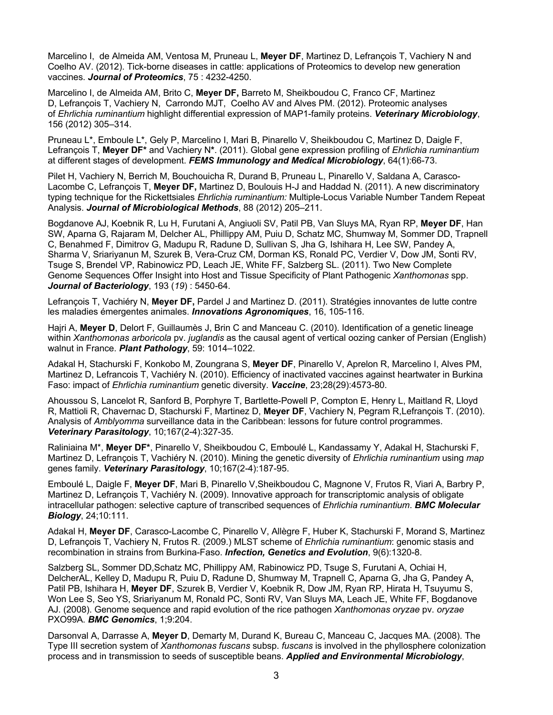Marcelino I, de Almeida AM, Ventosa M, Pruneau L, **Meyer DF**, Martinez D, Lefrançois T, Vachiery N and Coelho AV. (2012). Tick-borne diseases in cattle: applications of Proteomics to develop new generation vaccines. *Journal of Proteomics*, 75 : 4232-4250.

Marcelino I, de Almeida AM, Brito C, **Meyer DF,** Barreto M, Sheikboudou C, Franco CF, Martinez D, Lefrançois T, Vachiery N, Carrondo MJT, Coelho AV and Alves PM. (2012). Proteomic analyses of *Ehrlichia ruminantium* highlight differential expression of MAP1-family proteins. *Veterinary Microbiology*, 156 (2012) 305–314.

Pruneau L\*, Emboule L\*, Gely P, Marcelino I, Mari B, Pinarello V, Sheikboudou C, Martinez D, Daigle F, Lefrançois T, **Meyer DF\*** and Vachiery N**\***. (2011). Global gene expression profiling of *Ehrlichia ruminantium* at different stages of development. *FEMS Immunology and Medical Microbiology*, 64(1):66-73.

Pilet H, Vachiery N, Berrich M, Bouchouicha R, Durand B, Pruneau L, Pinarello V, Saldana A, Carasco-Lacombe C, Lefrançois T, **Meyer DF,** Martinez D, Boulouis H-J and Haddad N. (2011). A new discriminatory typing technique for the Rickettsiales *Ehrlichia ruminantium:* Multiple-Locus Variable Number Tandem Repeat Analysis. *Journal of Microbiological Methods*, 88 (2012) 205–211.

Bogdanove AJ, Koebnik R, Lu H, Furutani A, Angiuoli SV, Patil PB, Van Sluys MA, Ryan RP, **Meyer DF**, Han SW, Aparna G, Rajaram M, Delcher AL, Phillippy AM, Puiu D, Schatz MC, Shumway M, Sommer DD, Trapnell C, Benahmed F, Dimitrov G, Madupu R, Radune D, Sullivan S, Jha G, Ishihara H, Lee SW, Pandey A, Sharma V, Sriariyanun M, Szurek B, Vera-Cruz CM, Dorman KS, Ronald PC, Verdier V, Dow JM, Sonti RV, Tsuge S, Brendel VP, Rabinowicz PD, Leach JE, White FF, Salzberg SL. (2011). Two New Complete Genome Sequences Offer Insight into Host and Tissue Specificity of Plant Pathogenic *Xanthomonas* spp. *Journal of Bacteriology*, 193 (*19*) : 5450-64.

Lefrançois T, Vachiéry N, **Meyer DF,** Pardel J and Martinez D. (2011). Stratégies innovantes de lutte contre les maladies émergentes animales. *Innovations Agronomiques*, 16, 105-116.

Hajri A, **Meyer D**, Delort F, Guillaumès J, Brin C and Manceau C. (2010). Identification of a genetic lineage within *Xanthomonas arboricola* pv. *juglandis* as the causal agent of vertical oozing canker of Persian (English) walnut in France. *Plant Pathology*, 59: 1014–1022.

Adakal H, Stachurski F, Konkobo M, Zoungrana S, **Meyer DF**, Pinarello V, Aprelon R, Marcelino I, Alves PM, Martinez D, Lefrancois T, Vachiéry N. (2010). Efficiency of inactivated vaccines against heartwater in Burkina Faso: impact of *Ehrlichia ruminantium* genetic diversity. *Vaccine*, 23;28(29):4573-80.

Ahoussou S, Lancelot R, Sanford B, Porphyre T, Bartlette-Powell P, Compton E, Henry L, Maitland R, Lloyd R, Mattioli R, Chavernac D, Stachurski F, Martinez D, **Meyer DF**, Vachiery N, Pegram R,Lefrançois T. (2010). Analysis of *Amblyomma* surveillance data in the Caribbean: lessons for future control programmes. *Veterinary Parasitology*, 10;167(2-4):327-35.

Raliniaina M\*, **Meyer DF\***, Pinarello V, Sheikboudou C, Emboulé L, Kandassamy Y, Adakal H, Stachurski F, Martinez D, Lefrançois T, Vachiéry N. (2010). Mining the genetic diversity of *Ehrlichia ruminantium* using *map*  genes family. *Veterinary Parasitology*, 10;167(2-4):187-95.

Emboulé L, Daigle F, **Meyer DF**, Mari B, Pinarello V,Sheikboudou C, Magnone V, Frutos R, Viari A, Barbry P, Martinez D, Lefrançois T, Vachiéry N. (2009). Innovative approach for transcriptomic analysis of obligate intracellular pathogen: selective capture of transcribed sequences of *Ehrlichia ruminantium*. *BMC Molecular Biology*, 24;10:111.

Adakal H, **Meyer DF**, Carasco-Lacombe C, Pinarello V, Allègre F, Huber K, Stachurski F, Morand S, Martinez D, Lefrançois T, Vachiery N, Frutos R. (2009.) MLST scheme of *Ehrlichia ruminantium*: genomic stasis and recombination in strains from Burkina-Faso. *Infection, Genetics and Evolution*, 9(6):1320-8.

Salzberg SL, Sommer DD,Schatz MC, Phillippy AM, Rabinowicz PD, Tsuge S, Furutani A, Ochiai H, DelcherAL, Kelley D, Madupu R, Puiu D, Radune D, Shumway M, Trapnell C, Aparna G, Jha G, Pandey A, Patil PB, Ishihara H, **Meyer DF**, Szurek B, Verdier V, Koebnik R, Dow JM, Ryan RP, Hirata H, Tsuyumu S, Won Lee S, Seo YS, Sriariyanum M, Ronald PC, Sonti RV, Van Sluys MA, Leach JE, White FF, Bogdanove AJ. (2008). Genome sequence and rapid evolution of the rice pathogen *Xanthomonas oryzae* pv. *oryzae*  PXO99A. *BMC Genomics*, 1;9:204.

Darsonval A, Darrasse A, **Meyer D**, Demarty M, Durand K, Bureau C, Manceau C, Jacques MA. (2008). The Type III secretion system of *Xanthomonas fuscans* subsp. *fuscans* is involved in the phyllosphere colonization process and in transmission to seeds of susceptible beans. *Applied and Environmental Microbiology*,